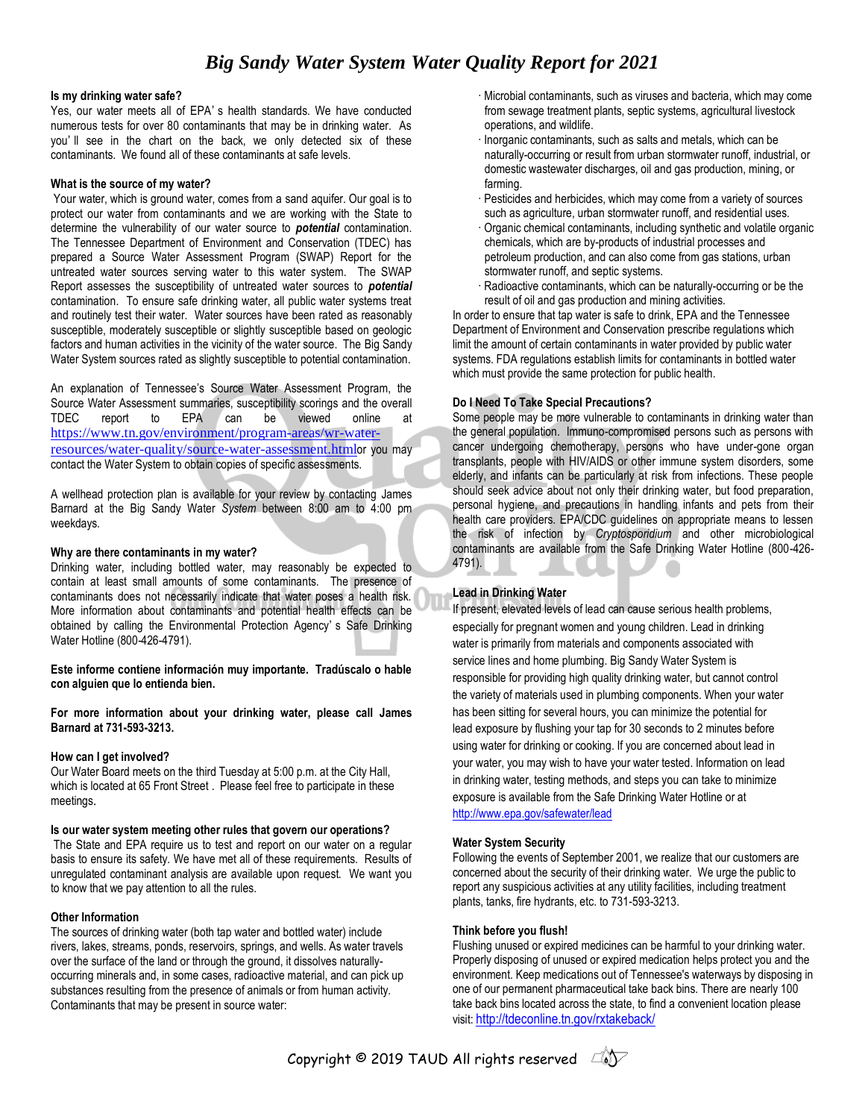## **Is my drinking water safe?**

Yes, our water meets all of EPA' s health standards. We have conducted numerous tests for over 80 contaminants that may be in drinking water. As you' ll see in the chart on the back, we only detected six of these contaminants. We found all of these contaminants at safe levels.

### **What is the source of my water?**

Your water, which is ground water, comes from a sand aquifer. Our goal is to protect our water from contaminants and we are working with the State to determine the vulnerability of our water source to *potential* contamination. The Tennessee Department of Environment and Conservation (TDEC) has prepared a Source Water Assessment Program (SWAP) Report for the untreated water sources serving water to this water system. The SWAP Report assesses the susceptibility of untreated water sources to *potential* contamination. To ensure safe drinking water, all public water systems treat and routinely test their water. Water sources have been rated as reasonably susceptible, moderately susceptible or slightly susceptible based on geologic factors and human activities in the vicinity of the water source. The Big Sandy Water System sources rated as slightly susceptible to potential contamination.

An explanation of Tennessee's Source Water Assessment Program, the Source Water Assessment summaries, susceptibility scorings and the overall TDEC report to EPA can be viewed online at [https://www.tn.gov/environment/program-areas/wr-water](https://www.tn.gov/environment/program-areas/wr-water-resources/water-quality/source-water-assessment.html)[resources/water-quality/source-water-assessment.html](https://www.tn.gov/environment/program-areas/wr-water-resources/water-quality/source-water-assessment.html)or you may contact the Water System to obtain copies of specific assessments.

A wellhead protection plan is available for your review by contacting James Barnard at the Big Sandy Water *System* between 8:00 am to 4:00 pm weekdays.

### **Why are there contaminants in my water?**

Drinking water, including bottled water, may reasonably be expected to contain at least small amounts of some contaminants. The presence of contaminants does not necessarily indicate that water poses a health risk. More information about contaminants and potential health effects can be obtained by calling the Environmental Protection Agency' s Safe Drinking Water Hotline (800-426-4791).

**Este informe contiene información muy importante. Tradúscalo o hable con alguien que lo entienda bien.**

**For more information about your drinking water, please call James Barnard at 731-593-3213.**

## **How can I get involved?**

Our Water Board meets on the third Tuesday at 5:00 p.m. at the City Hall, which is located at 65 Front Street . Please feel free to participate in these meetings.

#### **Is our water system meeting other rules that govern our operations?**

The State and EPA require us to test and report on our water on a regular basis to ensure its safety. We have met all of these requirements. Results of unregulated contaminant analysis are available upon request. We want you to know that we pay attention to all the rules.

## **Other Information**

The sources of drinking water (both tap water and bottled water) include rivers, lakes, streams, ponds, reservoirs, springs, and wells. As water travels over the surface of the land or through the ground, it dissolves naturallyoccurring minerals and, in some cases, radioactive material, and can pick up substances resulting from the presence of animals or from human activity. Contaminants that may be present in source water:

- · Microbial contaminants, such as viruses and bacteria, which may come from sewage treatment plants, septic systems, agricultural livestock operations, and wildlife.
- · Inorganic contaminants, such as salts and metals, which can be naturally-occurring or result from urban stormwater runoff, industrial, or domestic wastewater discharges, oil and gas production, mining, or farming.
- · Pesticides and herbicides, which may come from a variety of sources such as agriculture, urban stormwater runoff, and residential uses.
- · Organic chemical contaminants, including synthetic and volatile organic chemicals, which are by-products of industrial processes and petroleum production, and can also come from gas stations, urban stormwater runoff, and septic systems.
- · Radioactive contaminants, which can be naturally-occurring or be the result of oil and gas production and mining activities.

In order to ensure that tap water is safe to drink, EPA and the Tennessee Department of Environment and Conservation prescribe regulations which limit the amount of certain contaminants in water provided by public water systems. FDA regulations establish limits for contaminants in bottled water which must provide the same protection for public health.

### **Do I Need To Take Special Precautions?**

Some people may be more vulnerable to contaminants in drinking water than the general population. Immuno-compromised persons such as persons with cancer undergoing chemotherapy, persons who have under-gone organ transplants, people with HIV/AIDS or other immune system disorders, some elderly, and infants can be particularly at risk from infections. These people should seek advice about not only their drinking water, but food preparation, personal hygiene, and precautions in handling infants and pets from their health care providers. EPA/CDC guidelines on appropriate means to lessen the risk of infection by *Cryptosporidium* and other microbiological contaminants are available from the Safe Drinking Water Hotline (800-426- 4791).

## **Lead in Drinking Water**

If present, elevated levels of lead can cause serious health problems, especially for pregnant women and young children. Lead in drinking water is primarily from materials and components associated with service lines and home plumbing. Big Sandy Water System is responsible for providing high quality drinking water, but cannot control the variety of materials used in plumbing components. When your water has been sitting for several hours, you can minimize the potential for lead exposure by flushing your tap for 30 seconds to 2 minutes before using water for drinking or cooking. If you are concerned about lead in your water, you may wish to have your water tested. Information on lead in drinking water, testing methods, and steps you can take to minimize exposure is available from the Safe Drinking Water Hotline or at <http://www.epa.gov/safewater/lead>

## **Water System Security**

Following the events of September 2001, we realize that our customers are concerned about the security of their drinking water. We urge the public to report any suspicious activities at any utility facilities, including treatment plants, tanks, fire hydrants, etc. to 731-593-3213.

#### **Think before you flush!**

Flushing unused or expired medicines can be harmful to your drinking water. Properly disposing of unused or expired medication helps protect you and the environment. Keep medications out of Tennessee's waterways by disposing in one of our permanent pharmaceutical take back bins. There are nearly 100 take back bins located across the state, to find a convenient location please visit: <http://tdeconline.tn.gov/rxtakeback/>

Copyright © 2019 TAUD All rights reserved  $\Box$